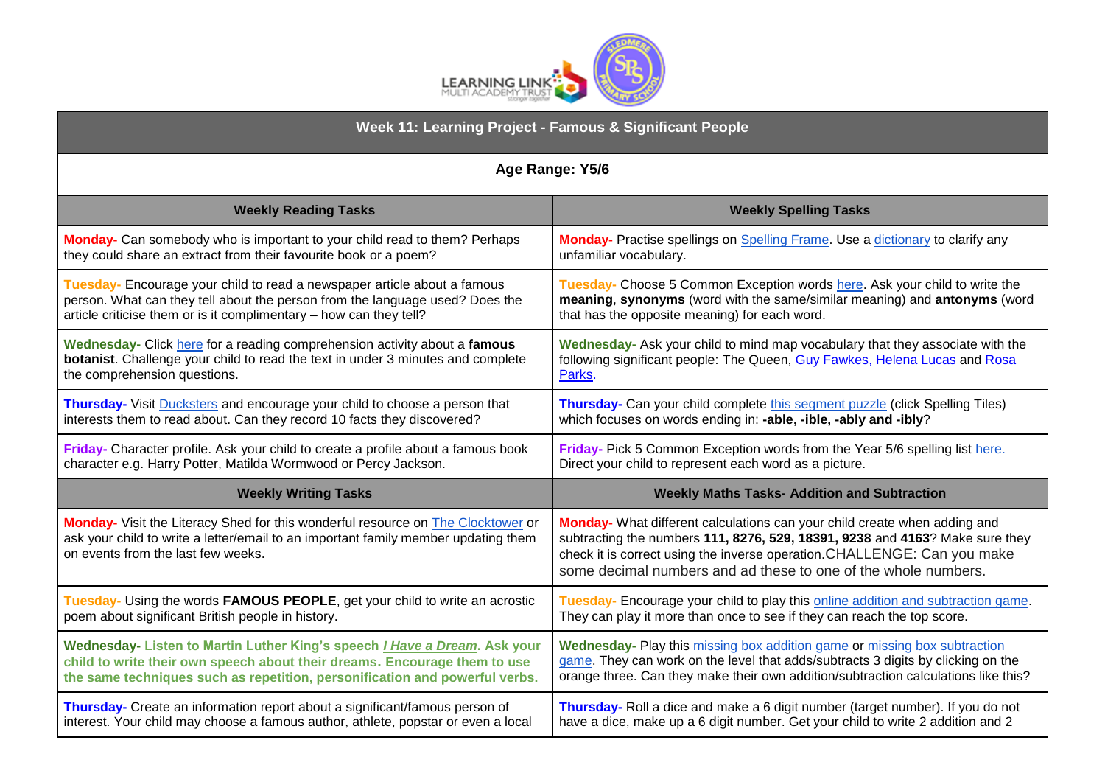

| Week 11: Learning Project - Famous & Significant People                                                                                                                                                      |                                                                                                                                                                                                                                                                                                         |
|--------------------------------------------------------------------------------------------------------------------------------------------------------------------------------------------------------------|---------------------------------------------------------------------------------------------------------------------------------------------------------------------------------------------------------------------------------------------------------------------------------------------------------|
| Age Range: Y5/6                                                                                                                                                                                              |                                                                                                                                                                                                                                                                                                         |
| <b>Weekly Reading Tasks</b>                                                                                                                                                                                  | <b>Weekly Spelling Tasks</b>                                                                                                                                                                                                                                                                            |
| Monday- Can somebody who is important to your child read to them? Perhaps                                                                                                                                    | Monday- Practise spellings on Spelling Frame. Use a dictionary to clarify any                                                                                                                                                                                                                           |
| they could share an extract from their favourite book or a poem?                                                                                                                                             | unfamiliar vocabulary.                                                                                                                                                                                                                                                                                  |
| Tuesday- Encourage your child to read a newspaper article about a famous                                                                                                                                     | Tuesday- Choose 5 Common Exception words here. Ask your child to write the                                                                                                                                                                                                                              |
| person. What can they tell about the person from the language used? Does the                                                                                                                                 | meaning, synonyms (word with the same/similar meaning) and antonyms (word                                                                                                                                                                                                                               |
| article criticise them or is it complimentary - how can they tell?                                                                                                                                           | that has the opposite meaning) for each word.                                                                                                                                                                                                                                                           |
| Wednesday- Click here for a reading comprehension activity about a famous                                                                                                                                    | Wednesday- Ask your child to mind map vocabulary that they associate with the                                                                                                                                                                                                                           |
| botanist. Challenge your child to read the text in under 3 minutes and complete                                                                                                                              | following significant people: The Queen, Guy Fawkes, Helena Lucas and Rosa                                                                                                                                                                                                                              |
| the comprehension questions.                                                                                                                                                                                 | Parks.                                                                                                                                                                                                                                                                                                  |
| Thursday- Visit Ducksters and encourage your child to choose a person that                                                                                                                                   | Thursday- Can your child complete this segment puzzle (click Spelling Tiles)                                                                                                                                                                                                                            |
| interests them to read about. Can they record 10 facts they discovered?                                                                                                                                      | which focuses on words ending in: -able, -ible, -ably and -ibly?                                                                                                                                                                                                                                        |
| Friday- Character profile. Ask your child to create a profile about a famous book                                                                                                                            | Friday- Pick 5 Common Exception words from the Year 5/6 spelling list here.                                                                                                                                                                                                                             |
| character e.g. Harry Potter, Matilda Wormwood or Percy Jackson.                                                                                                                                              | Direct your child to represent each word as a picture.                                                                                                                                                                                                                                                  |
| <b>Weekly Writing Tasks</b>                                                                                                                                                                                  | <b>Weekly Maths Tasks- Addition and Subtraction</b>                                                                                                                                                                                                                                                     |
| Monday- Visit the Literacy Shed for this wonderful resource on The Clocktower or<br>ask your child to write a letter/email to an important family member updating them<br>on events from the last few weeks. | Monday- What different calculations can your child create when adding and<br>subtracting the numbers 111, 8276, 529, 18391, 9238 and 4163? Make sure they<br>check it is correct using the inverse operation. CHALLENGE: Can you make<br>some decimal numbers and ad these to one of the whole numbers. |
| Tuesday- Using the words FAMOUS PEOPLE, get your child to write an acrostic                                                                                                                                  | Tuesday- Encourage your child to play this online addition and subtraction game.                                                                                                                                                                                                                        |
| poem about significant British people in history.                                                                                                                                                            | They can play it more than once to see if they can reach the top score.                                                                                                                                                                                                                                 |
| Wednesday- Listen to Martin Luther King's speech <i>I Have a Dream</i> . Ask your                                                                                                                            | Wednesday- Play this missing box addition game or missing box subtraction                                                                                                                                                                                                                               |
| child to write their own speech about their dreams. Encourage them to use                                                                                                                                    | game. They can work on the level that adds/subtracts 3 digits by clicking on the                                                                                                                                                                                                                        |
| the same techniques such as repetition, personification and powerful verbs.                                                                                                                                  | orange three. Can they make their own addition/subtraction calculations like this?                                                                                                                                                                                                                      |
| Thursday- Create an information report about a significant/famous person of                                                                                                                                  | Thursday- Roll a dice and make a 6 digit number (target number). If you do not                                                                                                                                                                                                                          |
| interest. Your child may choose a famous author, athlete, popstar or even a local                                                                                                                            | have a dice, make up a 6 digit number. Get your child to write 2 addition and 2                                                                                                                                                                                                                         |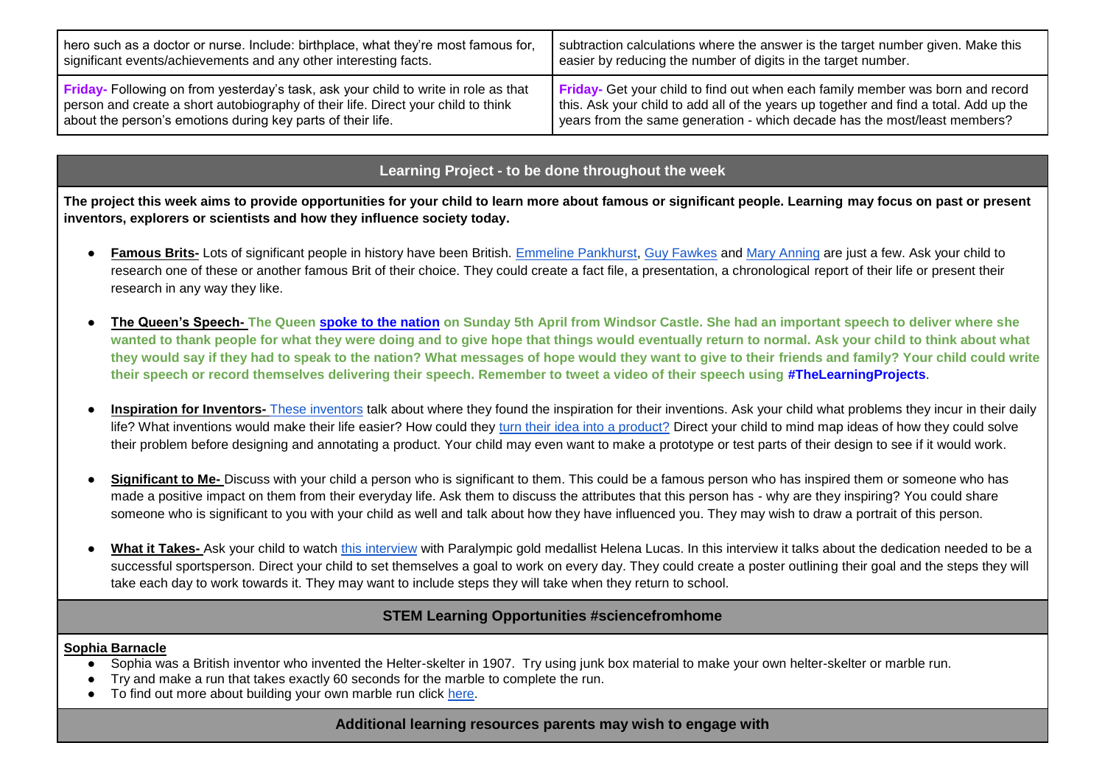| , hero such as a doctor or nurse. Include: birthplace, what they're most famous for, | subtraction calculations where the answer is the target number given. Make this       |
|--------------------------------------------------------------------------------------|---------------------------------------------------------------------------------------|
| significant events/achievements and any other interesting facts.                     | easier by reducing the number of digits in the target number.                         |
| Friday- Following on from yesterday's task, ask your child to write in role as that  | <b>Friday-</b> Get your child to find out when each family member was born and record |
| person and create a short autobiography of their life. Direct your child to think    | this. Ask your child to add all of the years up together and find a total. Add up the |
| about the person's emotions during key parts of their life.                          | l years from the same generation - which decade has the most/least members?           |

## **Learning Project - to be done throughout the week**

**The project this week aims to provide opportunities for your child to learn more about famous or significant people. Learning may focus on past or present inventors, explorers or scientists and how they influence society today.** 

- **Famous Brits-** Lots of significant people in history have been British. [Emmeline Pankhurst,](https://www.bbc.co.uk/bitesize/topics/zd8fv9q/articles/zh7kdxs) [Guy Fawkes](https://www.bbc.co.uk/bitesize/topics/zd8fv9q/articles/zdrrcj6) and [Mary Anning](https://www.bbc.co.uk/bitesize/topics/zd8fv9q/articles/zf6vb82) are just a few. Ask your child to research one of these or another famous Brit of their choice. They could create a fact file, a presentation, a chronological report of their life or present their research in any way they like.
- **The Queen's Speech- The Queen [spoke to the nation](https://safeyoutube.net/w/52C6) on Sunday 5th April from Windsor Castle. She had an important speech to deliver where she wanted to thank people for what they were doing and to give hope that things would eventually return to normal. Ask your child to think about what they would say if they had to speak to the nation? What messages of hope would they want to give to their friends and family? Your child could write their speech or record themselves delivering their speech. Remember to tweet a video of their speech using #TheLearningProjects**.
- Inspiration for Inventors- [These inventors](https://www.bbc.co.uk/teach/class-clips-video/design-and-technology-ks2-inspiration-for-inventions/zbs47nb) talk about where they found the inspiration for their inventions. Ask your child what problems they incur in their daily life? What inventions would make their life easier? How could they [turn their idea into a product?](https://www.bbc.co.uk/teach/class-clips-video/design-and-technology-ks2-developing-ideas-for-inventions/zdc7nrd) Direct your child to mind map ideas of how they could solve their problem before designing and annotating a product. Your child may even want to make a prototype or test parts of their design to see if it would work.
- **Significant to Me-** Discuss with your child a person who is significant to them. This could be a famous person who has inspired them or someone who has made a positive impact on them from their everyday life. Ask them to discuss the attributes that this person has - why are they inspiring? You could share someone who is significant to you with your child as well and talk about how they have influenced you. They may wish to draw a portrait of this person.
- What it Takes- Ask your child to watch [this interview](https://www.bbc.co.uk/teach/class-clips-video/pshe-ks1-ks2-proud-to-be-a-sportsperson/zmkfbdm) with Paralympic gold medallist Helena Lucas. In this interview it talks about the dedication needed to be a successful sportsperson. Direct your child to set themselves a goal to work on every day. They could create a poster outlining their goal and the steps they will take each day to work towards it. They may want to include steps they will take when they return to school.

# **STEM Learning Opportunities #sciencefromhome**

#### **Sophia Barnacle**

- Sophia was a British inventor who invented the Helter-skelter in 1907. Try using junk box material to make your own helter-skelter or marble run.
- Try and make a run that takes exactly 60 seconds for the marble to complete the run.
- To find out more about building your own marble run click [here.](https://bit.ly/2wKaj5O)

## **Additional learning resources parents may wish to engage with**